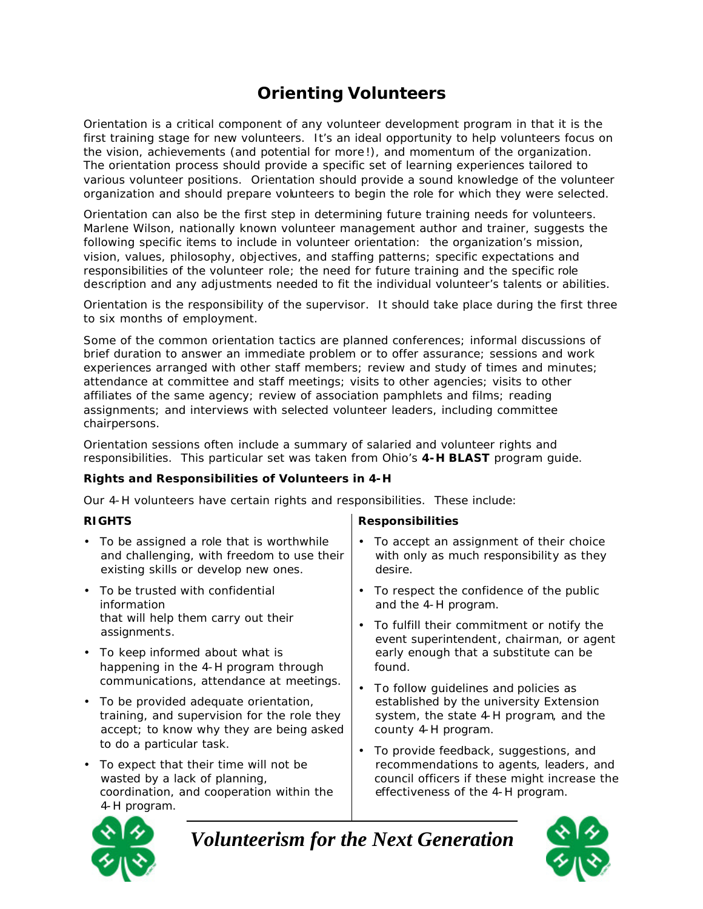# **Orienting Volunteers**

Orientation is a critical component of any volunteer development program in that it is the first training stage for new volunteers. It's an ideal opportunity to help volunteers focus on the vision, achievements (and potential for more !), and momentum of the organization. The orientation process should provide a specific set of learning experiences tailored to various volunteer positions. Orientation should provide a sound knowledge of the volunteer organization and should prepare volunteers to begin the role for which they were selected.

Orientation can also be the first step in determining future training needs for volunteers. Marlene Wilson, nationally known volunteer management author and trainer, suggests the following specific items to include in volunteer orientation: the organization's mission, vision, values, philosophy, objectives, and staffing patterns; specific expectations and responsibilities of the volunteer role; the need for future training and the specific role description and any adjustments needed to fit the individual volunteer's talents or abilities.

Orientation is the responsibility of the supervisor. It should take place during the first three to six months of employment.

Some of the common orientation tactics are planned conferences; informal discussions of brief duration to answer an immediate problem or to offer assurance; sessions and work experiences arranged with other staff members; review and study of times and minutes; attendance at committee and staff meetings; visits to other agencies; visits to other affiliates of the same agency; review of association pamphlets and films; reading assignments; and interviews with selected volunteer leaders, including committee chairpersons.

Orientation sessions often include a summary of salaried and volunteer rights and responsibilities. This particular set was taken from Ohio's *4-H BLAST* program guide.

### **Rights and Responsibilities of Volunteers in 4-H**

Our 4-H volunteers have certain rights and responsibilities. These include:

- To be assigned a role that is worthwhile and challenging, with freedom to use their existing skills or develop new ones.
- To be trusted with confidential information that will help them carry out their assignments.
- To keep informed about what is happening in the 4-H program through communications, attendance at meetings.
- To be provided adequate orientation, training, and supervision for the role they accept; to know why they are being asked to do a particular task.
- To expect that their time will not be wasted by a lack of planning, coordination, and cooperation within the 4-H program.

### **RIGHTS Responsibilities**

- To accept an assignment of their choice with only as much responsibility as they desire.
- To respect the confidence of the public and the 4-H program.
- To fulfill their commitment or notify the event superintendent, chairman, or agent early enough that a substitute can be found.
- To follow guidelines and policies as established by the university Extension system, the state 4-H program, and the county 4-H program.
- To provide feedback, suggestions, and recommendations to agents, leaders, and council officers if these might increase the effectiveness of the 4-H program.



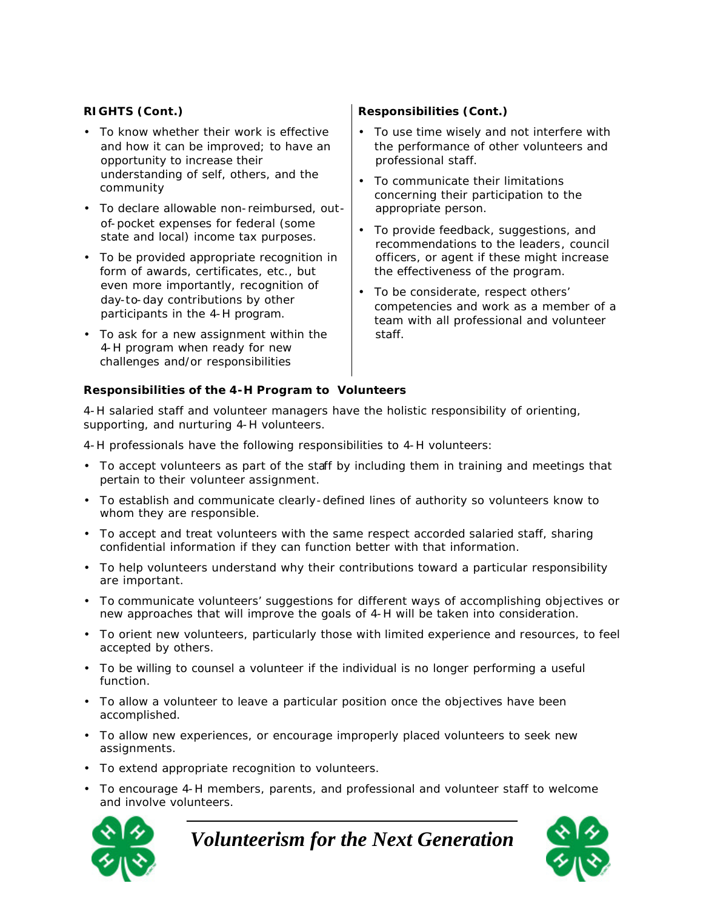- To know whether their work is effective and how it can be improved; to have an opportunity to increase their understanding of self, others, and the community
- To declare allowable non-reimbursed, out of-pocket expenses for federal (some state and local) income tax purposes.
- To be provided appropriate recognition in form of awards, certificates, etc., but even more importantly, recognition of day-to-day contributions by other participants in the 4-H program.
- To ask for a new assignment within the 4-H program when ready for new challenges and/or responsibilities

## **RIGHTS (Cont.) Responsibilities (Cont.)**

- To use time wisely and not interfere with the performance of other volunteers and professional staff.
- To communicate their limitations concerning their participation to the appropriate person.
- To provide feedback, suggestions, and recommendations to the leaders, council officers, or agent if these might increase the effectiveness of the program.
- To be considerate, respect others' competencies and work as a member of a team with all professional and volunteer staff.

#### **Responsibilities of the 4-H Program to Volunteers**

4-H salaried staff and volunteer managers have the holistic responsibility of orienting, supporting, and nurturing 4-H volunteers.

4-H professionals have the following responsibilities to 4-H volunteers:

- To accept volunteers as part of the staff by including them in training and meetings that pertain to their volunteer assignment.
- To establish and communicate clearly-defined lines of authority so volunteers know to whom they are responsible.
- To accept and treat volunteers with the same respect accorded salaried staff, sharing confidential information if they can function better with that information.
- To help volunteers understand why their contributions toward a particular responsibility are important.
- To communicate volunteers' suggestions for different ways of accomplishing objectives or new approaches that will improve the goals of 4-H will be taken into consideration.
- To orient new volunteers, particularly those with limited experience and resources, to feel accepted by others.
- To be willing to counsel a volunteer if the individual is no longer performing a useful function.
- To allow a volunteer to leave a particular position once the objectives have been accomplished.
- To allow new experiences, or encourage improperly placed volunteers to seek new assignments.
- To extend appropriate recognition to volunteers.
- To encourage 4-H members, parents, and professional and volunteer staff to welcome and involve volunteers.



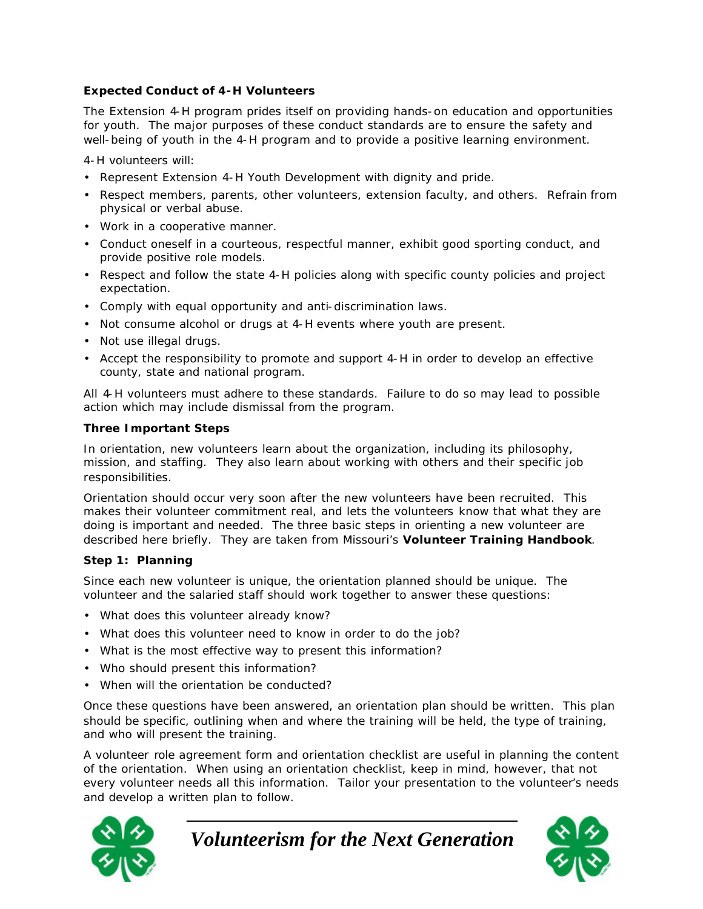### **Expected Conduct of 4-H Volunteers**

The Extension 4-H program prides itself on providing hands-on education and opportunities for youth. The major purposes of these conduct standards are to ensure the safety and well-being of youth in the 4-H program and to provide a positive learning environment.

4-H volunteers will:

- Represent Extension 4-H Youth Development with dignity and pride.
- Respect members, parents, other volunteers, extension faculty, and others. Refrain from physical or verbal abuse.
- Work in a cooperative manner.
- Conduct oneself in a courteous, respectful manner, exhibit good sporting conduct, and provide positive role models.
- Respect and follow the state 4-H policies along with specific county policies and project expectation.
- Comply with equal opportunity and anti-discrimination laws.
- Not consume alcohol or drugs at 4-H events where youth are present.
- Not use illegal drugs.
- Accept the responsibility to promote and support 4-H in order to develop an effective county, state and national program.

All 4-H volunteers must adhere to these standards. Failure to do so may lead to possible action which may include dismissal from the program.

#### **Three Important Steps**

In orientation, new volunteers learn about the organization, including its philosophy, mission, and staffing. They also learn about working with others and their specific job responsibilities.

Orientation should occur very soon after the new volunteers have been recruited. This makes their volunteer commitment real, and lets the volunteers know that what they are doing is important and needed. The three basic steps in orienting a new volunteer are described here briefly. They are taken from Missouri's **Volunteer Training Handbook**.

### **Step 1: Planning**

Since each new volunteer is unique, the orientation planned should be unique. The volunteer and the salaried staff should work together to answer these questions:

- What does this volunteer already know?
- What does this volunteer need to know in order to do the job?
- What is the most effective way to present this information?
- Who should present this information?
- When will the orientation be conducted?

Once these questions have been answered, an orientation plan should be written. This plan should be specific, outlining when and where the training will be held, the type of training, and who will present the training.

A volunteer role agreement form and orientation checklist are useful in planning the content of the orientation. When using an orientation checklist, keep in mind, however, that not every volunteer needs all this information. Tailor your presentation to the volunteer's needs and develop a written plan to follow.



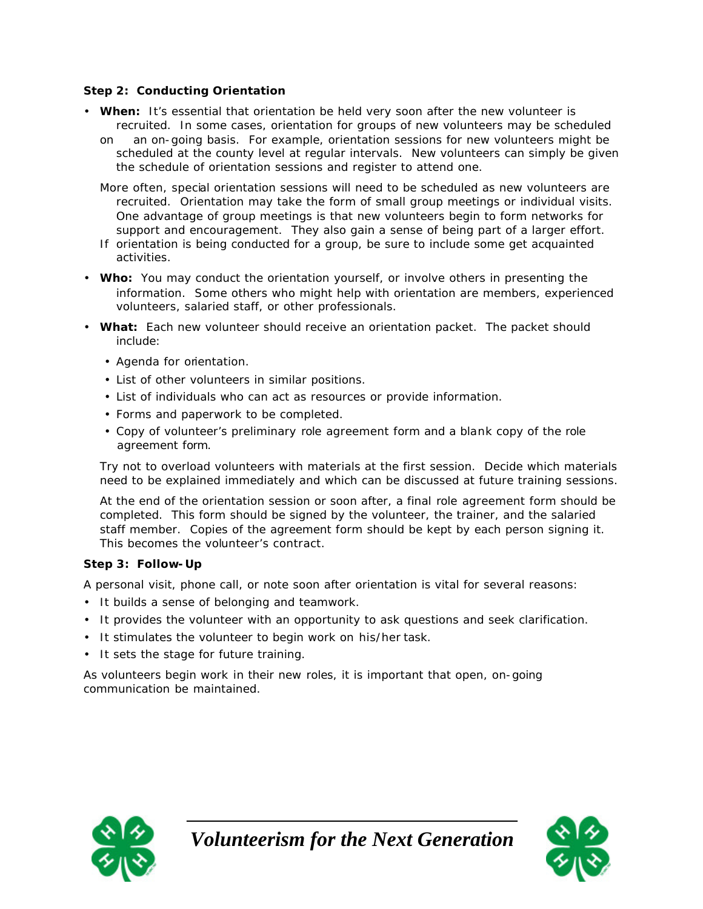#### **Step 2: Conducting Orientation**

- **When:** It's essential that orientation be held very soon after the new volunteer is recruited. In some cases, orientation for groups of new volunteers may be scheduled
	- on an on-going basis. For example, orientation sessions for new volunteers might be scheduled at the county level at regular intervals. New volunteers can simply be given the schedule of orientation sessions and register to attend one.
	- More often, special orientation sessions will need to be scheduled as new volunteers are recruited. Orientation may take the form of small group meetings or individual visits. One advantage of group meetings is that new volunteers begin to form networks for support and encouragement. They also gain a sense of being part of a larger effort.
	- If orientation is being conducted for a group, be sure to include some get acquainted activities.
- **Who:** You may conduct the orientation yourself, or involve others in presenting the information. Some others who might help with orientation are members, experienced volunteers, salaried staff, or other professionals.
- **What:** Each new volunteer should receive an orientation packet. The packet should include:
	- Agenda for orientation.
	- List of other volunteers in similar positions.
	- List of individuals who can act as resources or provide information.
	- Forms and paperwork to be completed.
	- Copy of volunteer's preliminary role agreement form and a blank copy of the role agreement form.

Try not to overload volunteers with materials at the first session. Decide which materials need to be explained immediately and which can be discussed at future training sessions.

At the end of the orientation session or soon after, a final role agreement form should be completed. This form should be signed by the volunteer, the trainer, and the salaried staff member. Copies of the agreement form should be kept by each person signing it. This becomes the volunteer's contract.

#### **Step 3: Follow- Up**

A personal visit, phone call, or note soon after orientation is vital for several reasons:

- It builds a sense of belonging and teamwork.
- It provides the volunteer with an opportunity to ask questions and seek clarification.
- It stimulates the volunteer to begin work on his/her task.
- It sets the stage for future training.

As volunteers begin work in their new roles, it is important that open, on-going communication be maintained.



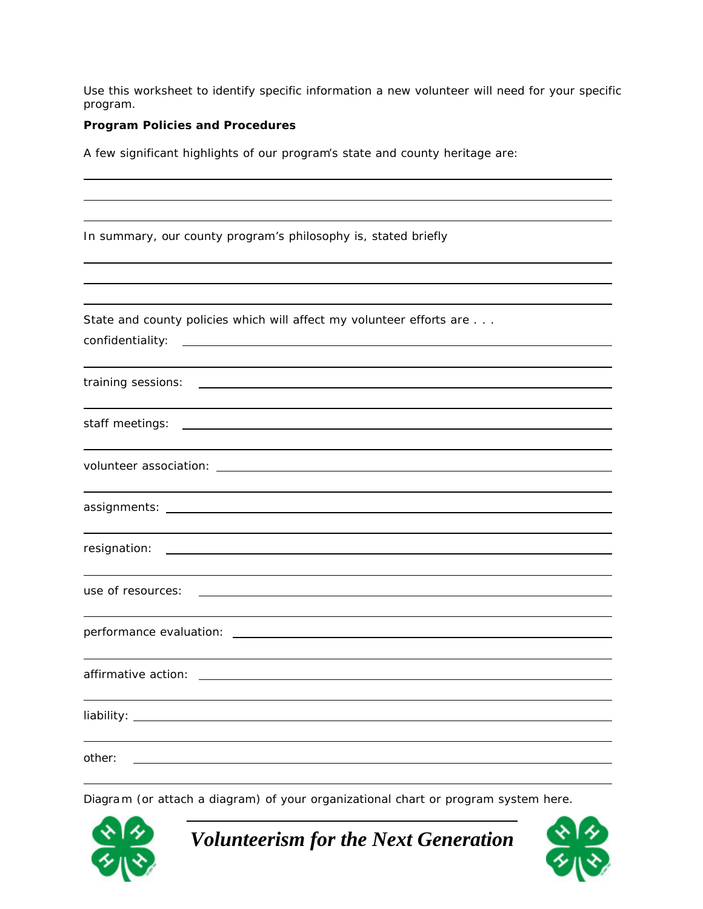Use this worksheet to identify specific information a new volunteer will need for your specific program.

#### **Program Policies and Procedures**

A few significant highlights of our program's state and county heritage are:

| In summary, our county program's philosophy is, stated briefly                                                                                                                                                                                          |
|---------------------------------------------------------------------------------------------------------------------------------------------------------------------------------------------------------------------------------------------------------|
|                                                                                                                                                                                                                                                         |
|                                                                                                                                                                                                                                                         |
| State and county policies which will affect my volunteer efforts are<br>confidentiality:<br><u> 1980 - John Stein, market fan de Fryske kunstner fan de Fryske kunstner fan de Fryske kunstner.</u>                                                     |
|                                                                                                                                                                                                                                                         |
| training sessions:<br><u> Alexandria de la contrada de la contrada de la contrada de la contrada de la contrada de la contrada de la c</u>                                                                                                              |
|                                                                                                                                                                                                                                                         |
| staff meetings:<br><u>and the contract of the contract of the contract of the contract of the contract of the contract of the contract of the contract of the contract of the contract of the contract of the contract of the contract of the contr</u> |
|                                                                                                                                                                                                                                                         |
|                                                                                                                                                                                                                                                         |
|                                                                                                                                                                                                                                                         |
| resignation:                                                                                                                                                                                                                                            |
|                                                                                                                                                                                                                                                         |
| use of resources:                                                                                                                                                                                                                                       |
|                                                                                                                                                                                                                                                         |
|                                                                                                                                                                                                                                                         |
|                                                                                                                                                                                                                                                         |
|                                                                                                                                                                                                                                                         |
|                                                                                                                                                                                                                                                         |
|                                                                                                                                                                                                                                                         |
| other:                                                                                                                                                                                                                                                  |

Diagram (or attach a diagram) of your organizational chart or program system here.



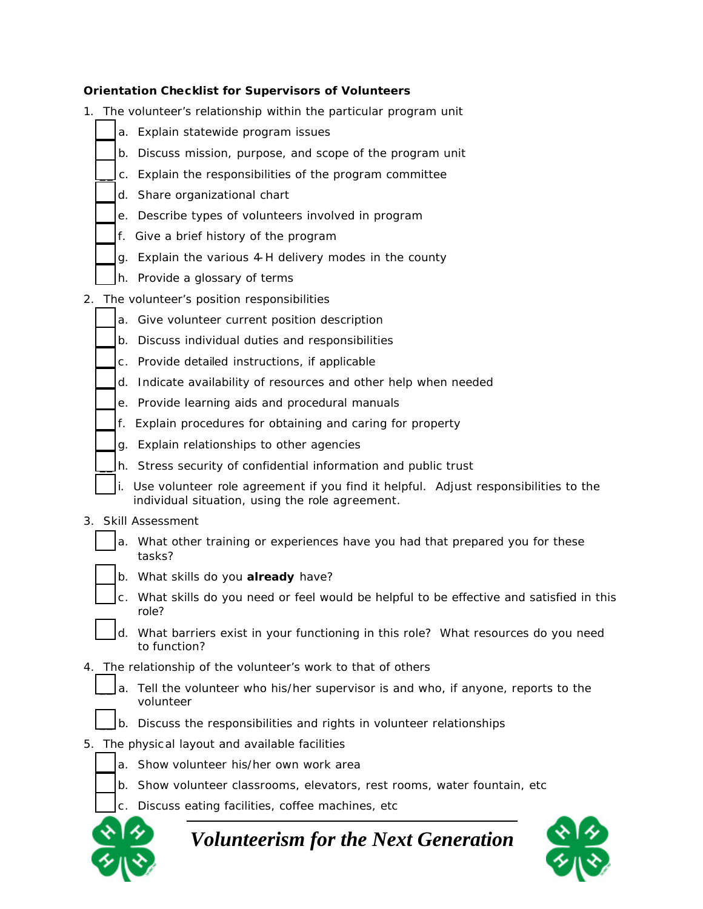#### **Orientation Checklist for Supervisors of Volunteers**

- 1. The volunteer's relationship within the particular program unit
	- a. Explain statewide program issues
	- b. Discuss mission, purpose, and scope of the program unit
	- \_\_ c. Explain the responsibilities of the program committee
	- d. Share organizational chart
	- e. Describe types of volunteers involved in program
	- f. Give a brief history of the program
	- q. Explain the various 4-H delivery modes in the county
	- h. Provide a glossary of terms
- 2. The volunteer's position responsibilities
	- a. Give volunteer current position description
	- b. Discuss individual duties and responsibilities
	- c. Provide detailed instructions, if applicable
	- d. Indicate availability of resources and other help when needed
	- e. Provide learning aids and procedural manuals
	- f. Explain procedures for obtaining and caring for property
	- \_\_ g. Explain relationships to other agencies
	- h. Stress security of confidential information and public trust
	- i. Use volunteer role agreement if you find it helpful. Adjust responsibilities to the individual situation, using the role agreement.
- 3. Skill Assessment
	- a. What other training or experiences have you had that prepared you for these tasks?
	- \_\_ b. What skills do you **already** have?
	- \_\_ c. What skills do you need or feel would be helpful to be effective and satisfied in this role?
	- \_\_ d. What barriers exist in your functioning in this role? What resources do you need to function?
- 4. The relationship of the volunteer's work to that of others
	- a. Tell the volunteer who his/her supervisor is and who, if anyone, reports to the volunteer
	- b. Discuss the responsibilities and rights in volunteer relationships
- 5. The physic al layout and available facilities
	- a. Show volunteer his/her own work area
	- b. Show volunteer classrooms, elevators, rest rooms, water fountain, etc.
	- \_\_ c. Discuss eating facilities, coffee machines, etc